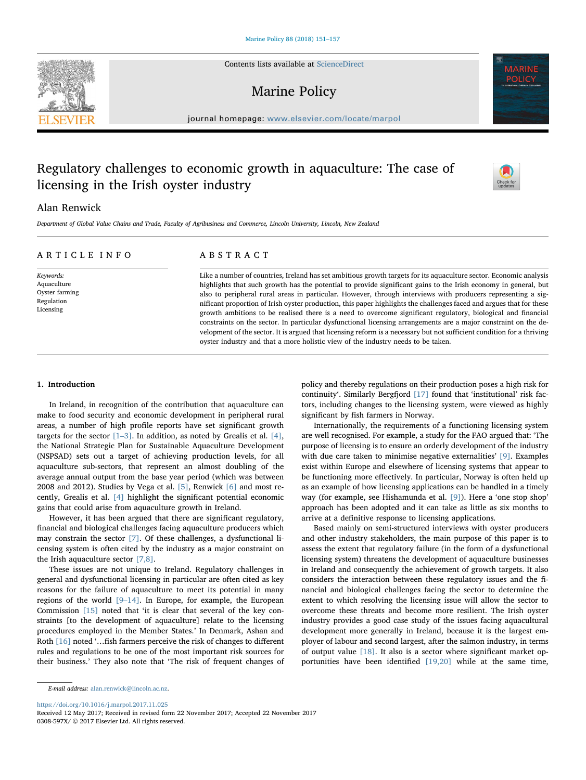Contents lists available at [ScienceDirect](http://www.sciencedirect.com/science/journal/0308597X)

## Marine Policy

journal homepage: [www.elsevier.com/locate/marpol](https://www.elsevier.com/locate/marpol)

# Regulatory challenges to economic growth in aquaculture: The case of licensing in the Irish oyster industry

## Alan Renwick

Department of Global Value Chains and Trade, Faculty of Agribusiness and Commerce, Lincoln University, Lincoln, New Zealand

| ARTICLE INFO                              | ABSTRACT                                                                                                               |
|-------------------------------------------|------------------------------------------------------------------------------------------------------------------------|
| Keywords:                                 | Like a number of countries, Ireland has set ambitious growth targets for its aquaculture sector. Economic analysis     |
| Aquaculture                               | highlights that such growth has the potential to provide significant gains to the Irish economy in general, but        |
| Oyster farming<br>Regulation<br>Licensing | also to peripheral rural areas in particular. However, through interviews with producers representing a sig-           |
|                                           | nificant proportion of Irish oyster production, this paper highlights the challenges faced and argues that for these   |
|                                           | growth ambitions to be realised there is a need to overcome significant regulatory, biological and financial           |
|                                           | constraints on the sector. In particular dysfunctional licensing arrangements are a major constraint on the de-        |
|                                           | velopment of the sector. It is argued that licensing reform is a necessary but not sufficient condition for a thriving |
|                                           | oyster industry and that a more holistic view of the industry needs to be taken.                                       |

## 1. Introduction

In Ireland, in recognition of the contribution that aquaculture can make to food security and economic development in peripheral rural areas, a number of high profile reports have set significant growth targets for the sector  $[1-3]$  $[1-3]$ . In addition, as noted by Grealis et al.  $[4]$ , the National Strategic Plan for Sustainable Aquaculture Development (NSPSAD) sets out a target of achieving production levels, for all aquaculture sub-sectors, that represent an almost doubling of the average annual output from the base year period (which was between 2008 and 2012). Studies by Vega et al. [\[5\],](#page--1-2) Renwick [\[6\]](#page--1-3) and most recently, Grealis et al. [\[4\]](#page--1-1) highlight the significant potential economic gains that could arise from aquaculture growth in Ireland.

However, it has been argued that there are significant regulatory, financial and biological challenges facing aquaculture producers which may constrain the sector [\[7\].](#page--1-4) Of these challenges, a dysfunctional licensing system is often cited by the industry as a major constraint on the Irish aquaculture sector [\[7,8\]](#page--1-4).

These issues are not unique to Ireland. Regulatory challenges in general and dysfunctional licensing in particular are often cited as key reasons for the failure of aquaculture to meet its potential in many regions of the world [9–[14\].](#page--1-5) In Europe, for example, the European Commission [\[15\]](#page--1-6) noted that 'it is clear that several of the key constraints [to the development of aquaculture] relate to the licensing procedures employed in the Member States.' In Denmark, Ashan and Roth [\[16\]](#page--1-7) noted '…fish farmers perceive the risk of changes to different rules and regulations to be one of the most important risk sources for their business.' They also note that 'The risk of frequent changes of

policy and thereby regulations on their production poses a high risk for continuity'. Similarly Bergfjord [\[17\]](#page--1-8) found that 'institutional' risk factors, including changes to the licensing system, were viewed as highly significant by fish farmers in Norway.

Internationally, the requirements of a functioning licensing system are well recognised. For example, a study for the FAO argued that: 'The purpose of licensing is to ensure an orderly development of the industry with due care taken to minimise negative externalities' [\[9\]](#page--1-5). Examples exist within Europe and elsewhere of licensing systems that appear to be functioning more effectively. In particular, Norway is often held up as an example of how licensing applications can be handled in a timely way (for example, see Hishamunda et al. [\[9\]\)](#page--1-5). Here a 'one stop shop' approach has been adopted and it can take as little as six months to arrive at a definitive response to licensing applications.

Based mainly on semi-structured interviews with oyster producers and other industry stakeholders, the main purpose of this paper is to assess the extent that regulatory failure (in the form of a dysfunctional licensing system) threatens the development of aquaculture businesses in Ireland and consequently the achievement of growth targets. It also considers the interaction between these regulatory issues and the financial and biological challenges facing the sector to determine the extent to which resolving the licensing issue will allow the sector to overcome these threats and become more resilient. The Irish oyster industry provides a good case study of the issues facing aquacultural development more generally in Ireland, because it is the largest employer of labour and second largest, after the salmon industry, in terms of output value [\[18\]](#page--1-9). It also is a sector where significant market opportunities have been identified [\[19,20\]](#page--1-10) while at the same time,

<https://doi.org/10.1016/j.marpol.2017.11.025>





[T](http://crossmark.crossref.org/dialog/?doi=10.1016/j.marpol.2017.11.025&domain=pdf)

E-mail address: [alan.renwick@lincoln.ac.nz](mailto:alan.renwick@lincoln.ac.nz).

Received 12 May 2017; Received in revised form 22 November 2017; Accepted 22 November 2017 0308-597X/ © 2017 Elsevier Ltd. All rights reserved.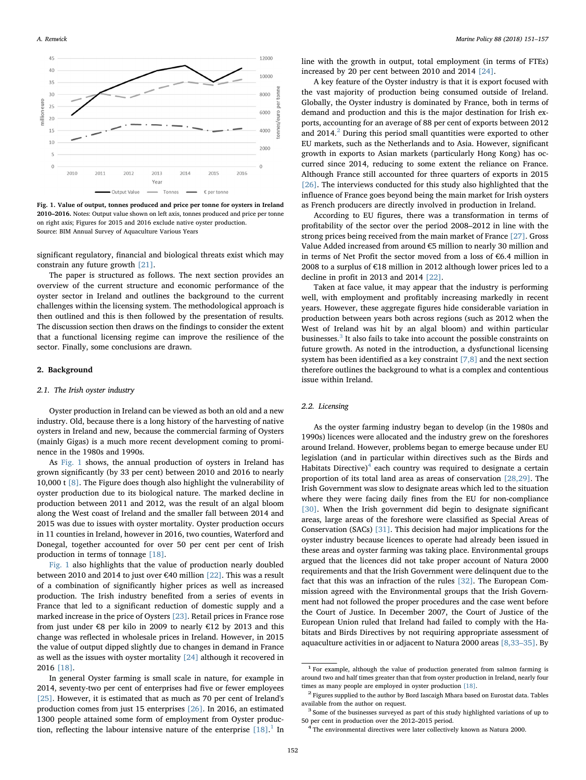<span id="page-1-0"></span>

Fig. 1. Value of output, tonnes produced and price per tonne for oysters in Ireland 2010–2016. Notes: Output value shown on left axis, tonnes produced and price per tonne on right axis; Figures for 2015 and 2016 exclude native oyster production. Source: BIM Annual Survey of Aquaculture Various Years

significant regulatory, financial and biological threats exist which may constrain any future growth [\[21\].](#page--1-11)

The paper is structured as follows. The next section provides an overview of the current structure and economic performance of the oyster sector in Ireland and outlines the background to the current challenges within the licensing system. The methodological approach is then outlined and this is then followed by the presentation of results. The discussion section then draws on the findings to consider the extent that a functional licensing regime can improve the resilience of the sector. Finally, some conclusions are drawn.

### 2. Background

### 2.1. The Irish oyster industry

Oyster production in Ireland can be viewed as both an old and a new industry. Old, because there is a long history of the harvesting of native oysters in Ireland and new, because the commercial farming of Oysters (mainly Gigas) is a much more recent development coming to prominence in the 1980s and 1990s.

As [Fig. 1](#page-1-0) shows, the annual production of oysters in Ireland has grown significantly (by 33 per cent) between 2010 and 2016 to nearly 10,000 t [\[8\]](#page--1-12). The Figure does though also highlight the vulnerability of oyster production due to its biological nature. The marked decline in production between 2011 and 2012, was the result of an algal bloom along the West coast of Ireland and the smaller fall between 2014 and 2015 was due to issues with oyster mortality. Oyster production occurs in 11 counties in Ireland, however in 2016, two counties, Waterford and Donegal, together accounted for over 50 per cent per cent of Irish production in terms of tonnage [\[18\]](#page--1-9).

[Fig. 1](#page-1-0) also highlights that the value of production nearly doubled between 2010 and 2014 to just over €40 million [\[22\]](#page--1-13). This was a result of a combination of significantly higher prices as well as increased production. The Irish industry benefited from a series of events in France that led to a significant reduction of domestic supply and a marked increase in the price of Oysters [\[23\].](#page--1-14) Retail prices in France rose from just under €8 per kilo in 2009 to nearly €12 by 2013 and this change was reflected in wholesale prices in Ireland. However, in 2015 the value of output dipped slightly due to changes in demand in France as well as the issues with oyster mortality [\[24\]](#page--1-15) although it recovered in 2016 [\[18\].](#page--1-9)

In general Oyster farming is small scale in nature, for example in 2014, seventy-two per cent of enterprises had five or fewer employees [\[25\]](#page--1-16). However, it is estimated that as much as 70 per cent of Ireland's production comes from just 15 enterprises [\[26\]](#page--1-17). In 2016, an estimated 1300 people attained some form of employment from Oyster production, reflecting the labour intensive nature of the enterprise  $[18]$  $[18]$  $[18]$ .<sup>1</sup> In

line with the growth in output, total employment (in terms of FTEs) increased by 20 per cent between 2010 and 2014 [\[24\]](#page--1-15).

A key feature of the Oyster industry is that it is export focused with the vast majority of production being consumed outside of Ireland. Globally, the Oyster industry is dominated by France, both in terms of demand and production and this is the major destination for Irish exports, accounting for an average of 88 per cent of exports between 2012 and [2](#page-1-2)014.<sup>2</sup> During this period small quantities were exported to other EU markets, such as the Netherlands and to Asia. However, significant growth in exports to Asian markets (particularly Hong Kong) has occurred since 2014, reducing to some extent the reliance on France. Although France still accounted for three quarters of exports in 2015 [\[26\]](#page--1-17). The interviews conducted for this study also highlighted that the influence of France goes beyond being the main market for Irish oysters as French producers are directly involved in production in Ireland.

According to EU figures, there was a transformation in terms of profitability of the sector over the period 2008–2012 in line with the strong prices being received from the main market of France [\[27\]](#page--1-18). Gross Value Added increased from around €5 million to nearly 30 million and in terms of Net Profit the sector moved from a loss of €6.4 million in 2008 to a surplus of €18 million in 2012 although lower prices led to a decline in profit in 2013 and 2014 [\[22\].](#page--1-13)

Taken at face value, it may appear that the industry is performing well, with employment and profitably increasing markedly in recent years. However, these aggregate figures hide considerable variation in production between years both across regions (such as 2012 when the West of Ireland was hit by an algal bloom) and within particular businesses.<sup>[3](#page-1-3)</sup> It also fails to take into account the possible constraints on future growth. As noted in the introduction, a dysfunctional licensing system has been identified as a key constraint [\[7,8\]](#page--1-4) and the next section therefore outlines the background to what is a complex and contentious issue within Ireland.

#### 2.2. Licensing

As the oyster farming industry began to develop (in the 1980s and 1990s) licences were allocated and the industry grew on the foreshores around Ireland. However, problems began to emerge because under EU legislation (and in particular within directives such as the Birds and Habitats Directive) $4$  each country was required to designate a certain proportion of its total land area as areas of conservation [\[28,29\]](#page--1-19). The Irish Government was slow to designate areas which led to the situation where they were facing daily fines from the EU for non-compliance [\[30\]](#page--1-20). When the Irish government did begin to designate significant areas, large areas of the foreshore were classified as Special Areas of Conservation (SACs) [\[31\].](#page--1-21) This decision had major implications for the oyster industry because licences to operate had already been issued in these areas and oyster farming was taking place. Environmental groups argued that the licences did not take proper account of Natura 2000 requirements and that the Irish Government were delinquent due to the fact that this was an infraction of the rules [\[32\].](#page--1-22) The European Commission agreed with the Environmental groups that the Irish Government had not followed the proper procedures and the case went before the Court of Justice. In December 2007, the Court of Justice of the European Union ruled that Ireland had failed to comply with the Habitats and Birds Directives by not requiring appropriate assessment of aquaculture activities in or adjacent to Natura 2000 areas [\[8,33](#page--1-12)–35]. By

<span id="page-1-1"></span> $1$  For example, although the value of production generated from salmon farming is around two and half times greater than that from oyster production in Ireland, nearly four times as many people are employed in oyster production [\[18\].](#page--1-9)  $\,$   $^2$  Figures supplied to the author by Bord Iascaigh Mhara based on Eurostat data. Tables

<span id="page-1-2"></span>

<span id="page-1-3"></span>available from the author on request.<br><sup>3</sup> Some of the businesses surveyed as part of this study highlighted variations of up to 50 per cent in production over the 2012–2015 period.

<span id="page-1-4"></span><sup>&</sup>lt;sup>4</sup> The environmental directives were later collectively known as Natura 2000.